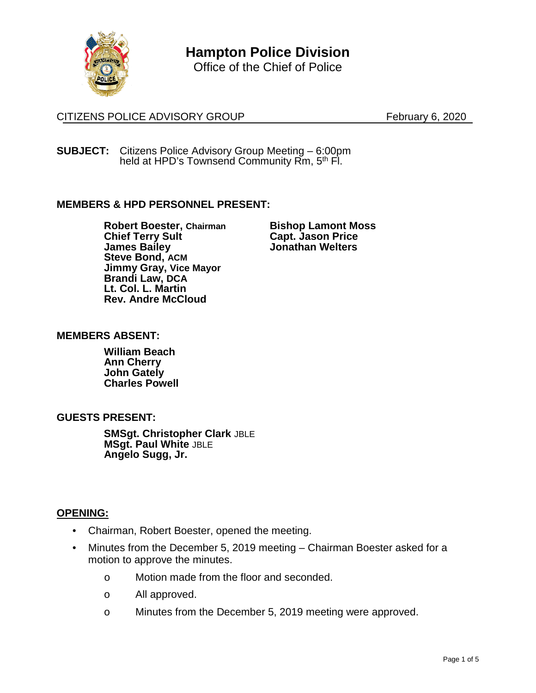

**Hampton Police Division**

Office of the Chief of Police

# CITIZENS POLICE ADVISORY GROUP February 6, 2020

**SUBJECT:** Citizens Police Advisory Group Meeting – 6:00pm held at HPD's Townsend Community Rm, 5<sup>th</sup> Fl.

### **MEMBERS & HPD PERSONNEL PRESENT:**

**Robert Boester, Chairman Chief Terry Sult James Bailey Steve Bond, ACM Jimmy Gray, Vice Mayor Brandi Law, DCA Lt. Col. L. Martin Rev. Andre McCloud**

**Bishop Lamont Moss Capt. Jason Price Jonathan Welters**

#### **MEMBERS ABSENT:**

**William Beach Ann Cherry John Gately Charles Powell**

### **GUESTS PRESENT:**

**SMSgt. Christopher Clark** JBLE **MSgt. Paul White** JBLE **Angelo Sugg, Jr.**

### **OPENING:**

- Chairman, Robert Boester, opened the meeting.
- Minutes from the December 5, 2019 meeting Chairman Boester asked for a motion to approve the minutes.
	- o Motion made from the floor and seconded.
	- o All approved.
	- o Minutes from the December 5, 2019 meeting were approved.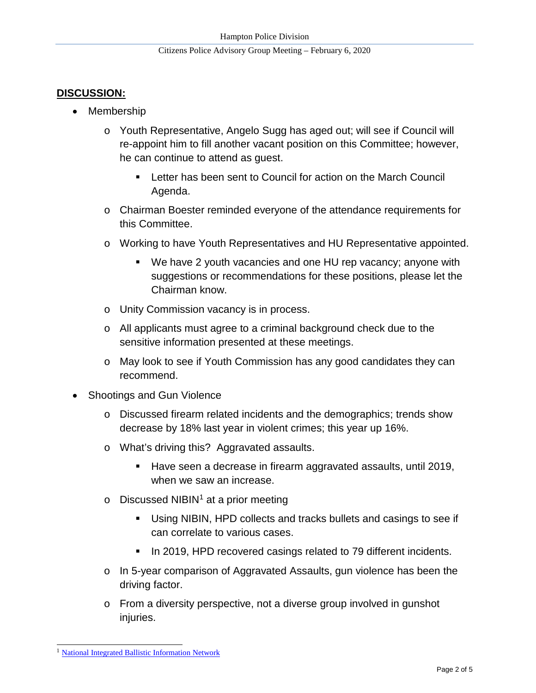# **DISCUSSION:**

- Membership
	- o Youth Representative, Angelo Sugg has aged out; will see if Council will re-appoint him to fill another vacant position on this Committee; however, he can continue to attend as guest.
		- Letter has been sent to Council for action on the March Council Agenda.
	- o Chairman Boester reminded everyone of the attendance requirements for this Committee.
	- o Working to have Youth Representatives and HU Representative appointed.
		- We have 2 youth vacancies and one HU rep vacancy; anyone with suggestions or recommendations for these positions, please let the Chairman know.
	- o Unity Commission vacancy is in process.
	- o All applicants must agree to a criminal background check due to the sensitive information presented at these meetings.
	- o May look to see if Youth Commission has any good candidates they can recommend.
- Shootings and Gun Violence
	- o Discussed firearm related incidents and the demographics; trends show decrease by 18% last year in violent crimes; this year up 16%.
	- o What's driving this? Aggravated assaults.
		- Have seen a decrease in firearm aggravated assaults, until 2019, when we saw an increase.
	- $\circ$  Discussed NIBIN<sup>[1](#page-4-0)</sup> at a prior meeting
		- Using NIBIN, HPD collects and tracks bullets and casings to see if can correlate to various cases.
		- **IF In 2019, HPD recovered casings related to 79 different incidents.**
	- o In 5-year comparison of Aggravated Assaults, gun violence has been the driving factor.
	- $\circ$  From a diversity perspective, not a diverse group involved in gunshot injuries.

<sup>&</sup>lt;sup>1</sup> [National Integrated Ballistic Information Network](https://www.atf.gov/firearms/national-integrated-ballistic-information-network-nibin)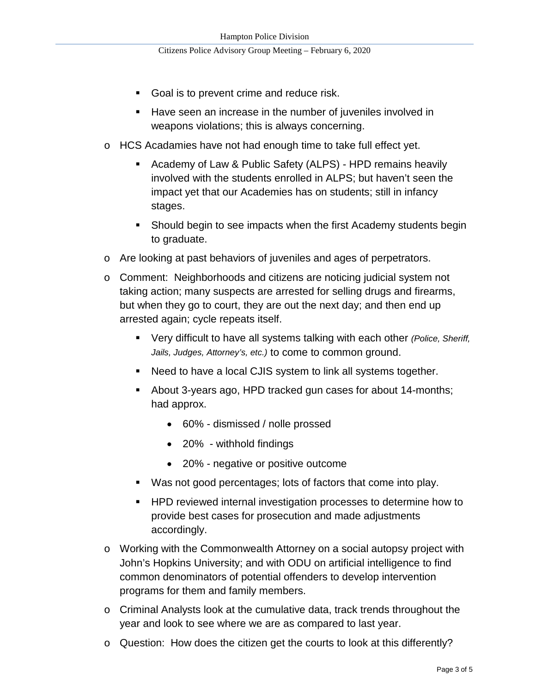- Goal is to prevent crime and reduce risk.
- **Have seen an increase in the number of juveniles involved in** weapons violations; this is always concerning.
- o HCS Acadamies have not had enough time to take full effect yet.
	- Academy of Law & Public Safety (ALPS) HPD remains heavily involved with the students enrolled in ALPS; but haven't seen the impact yet that our Academies has on students; still in infancy stages.
	- **Should begin to see impacts when the first Academy students begin** to graduate.
- o Are looking at past behaviors of juveniles and ages of perpetrators.
- o Comment: Neighborhoods and citizens are noticing judicial system not taking action; many suspects are arrested for selling drugs and firearms, but when they go to court, they are out the next day; and then end up arrested again; cycle repeats itself.
	- Very difficult to have all systems talking with each other *(Police, Sheriff, Jails, Judges, Attorney's, etc.)* to come to common ground.
	- Need to have a local CJIS system to link all systems together.
	- About 3-years ago, HPD tracked gun cases for about 14-months; had approx.
		- 60% dismissed / nolle prossed
		- 20% withhold findings
		- 20% negative or positive outcome
	- Was not good percentages; lots of factors that come into play.
	- **HPD reviewed internal investigation processes to determine how to** provide best cases for prosecution and made adjustments accordingly.
- o Working with the Commonwealth Attorney on a social autopsy project with John's Hopkins University; and with ODU on artificial intelligence to find common denominators of potential offenders to develop intervention programs for them and family members.
- o Criminal Analysts look at the cumulative data, track trends throughout the year and look to see where we are as compared to last year.
- o Question: How does the citizen get the courts to look at this differently?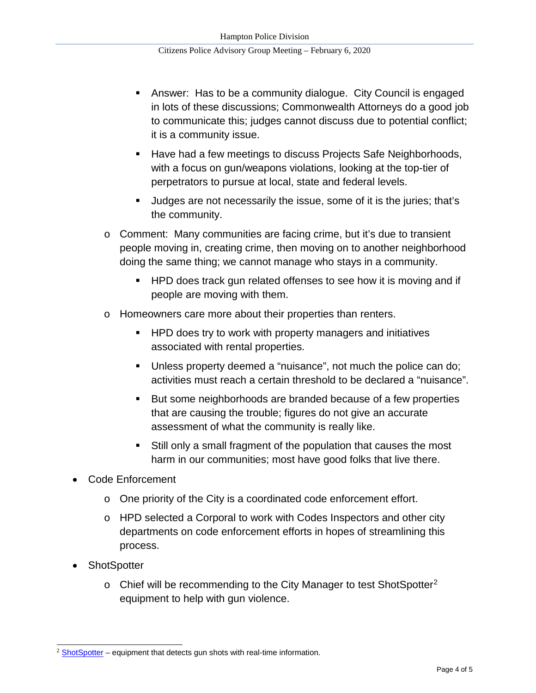- Answer: Has to be a community dialogue. City Council is engaged in lots of these discussions; Commonwealth Attorneys do a good job to communicate this; judges cannot discuss due to potential conflict; it is a community issue.
- Have had a few meetings to discuss Projects Safe Neighborhoods, with a focus on gun/weapons violations, looking at the top-tier of perpetrators to pursue at local, state and federal levels.
- Judges are not necessarily the issue, some of it is the juries; that's the community.
- o Comment: Many communities are facing crime, but it's due to transient people moving in, creating crime, then moving on to another neighborhood doing the same thing; we cannot manage who stays in a community.
	- **HPD does track gun related offenses to see how it is moving and if** people are moving with them.
- o Homeowners care more about their properties than renters.
	- **HPD does try to work with property managers and initiatives** associated with rental properties.
	- Unless property deemed a "nuisance", not much the police can do; activities must reach a certain threshold to be declared a "nuisance".
	- But some neighborhoods are branded because of a few properties that are causing the trouble; figures do not give an accurate assessment of what the community is really like.
	- Still only a small fragment of the population that causes the most harm in our communities; most have good folks that live there.
- Code Enforcement
	- o One priority of the City is a coordinated code enforcement effort.
	- o HPD selected a Corporal to work with Codes Inspectors and other city departments on code enforcement efforts in hopes of streamlining this process.
- **ShotSpotter** 
	- $\circ$  Chief will be recommending to the City Manager to test ShotSpotter<sup>[2](#page-3-0)</sup> equipment to help with gun violence.

<span id="page-3-0"></span> $2 \underline{\text{ShortSpotter}}$  – equipment that detects gun shots with real-time information.